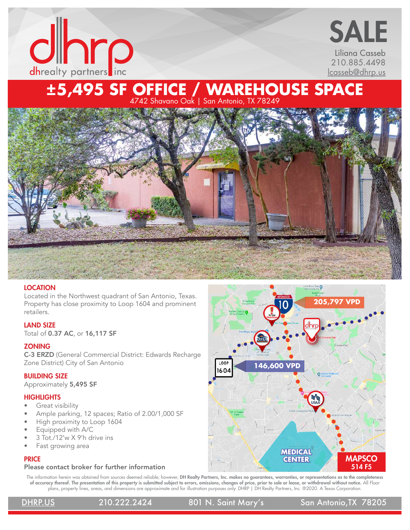

## Liliana Casseb 210.885.4498 [lcasseb@dhrp.us](mailto:lcasseb%40dhrp.us?subject=) SALE

# **±5,495 SF OFFICE / WAREHOUSE SPACE**

4742 Shavano Oak | San Antonio, TX 78249



## **LOCATION**

Located in the Northwest quadrant of San Antonio, Texas. Property has close proximity to Loop 1604 and prominent retailers.

## LAND SIZE

Total of 0.37 AC, or 16,117 SF

### **ZONING**

C-3 ERZD (General Commercial District: Edwards Recharge Zone District) City of San Antonio

### BUILDING SIZE

Approximately 5,495 SF

### **HIGHLIGHTS**

- Great visibility
- Ample parking, 12 spaces; Ratio of 2.00/1,000 SF
- High proximity to Loop 1604
- Equipped with A/C
- 3 Tot./12'w X 9'h drive ins
- Fast growing area

## **PRICE**

## Please contact broker for further information

The information herein was obtained from sources deemed reliable; however, DH Realty Partners, Inc. makes no guarantees, warranties, or representations as to the completeness of accuracy thereof. The presentation of this property is submitted subject to errors, omissions, changes of price, prior to sale or lease, or withdrawal without notice. All Floor plans, property lines, areas, and dimensions are approximate and for illustration purposes only. DHRP | DH Realty Partners, Inc. ®2020. A Texas Corporation.

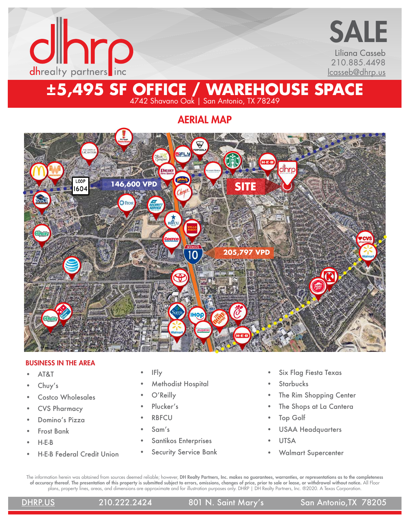



## **±5,495 SF OFFICE / WAREHOUSE SPACE** 4742 Shavano Oak | San Antonio, TX 78249

AERIAL MAP



### BUSINESS IN THE AREA

- AT&T
- Chuy's
- Costco Wholesales
- CVS Pharmacy
- Domino's Pizza
- Frost Bank
- H-E-B
- H-E-B Federal Credit Union
- IFly
- Methodist Hospital
- O'Reilly
- Plucker's
- RBFCU
- Sam's
- Santikos Enterprises
- Security Service Bank
- Six Flag Fiesta Texas
- **Starbucks**
- The Rim Shopping Center
- The Shops at La Cantera
- Top Golf
- USAA Headquarters
- UTSA
- Walmart Supercenter

The information herein was obtained from sources deemed reliable; however, DH Realty Partners, Inc. makes no guarantees, warranties, or representations as to the completeness of accuracy thereof. The presentation of this property is submitted subject to errors, omissions, changes of price, prior to sale or lease, or withdrawal without notice. All Floor plans, property lines, areas, and dimensions are approximate and for illustration purposes only. DHRP | DH Realty Partners, Inc. ®2020. A Texas Corporation.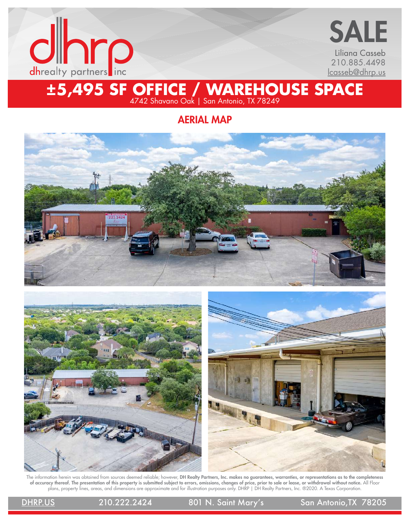



## **±5,495 SF OFFICE / WAREHOUSE SPACE** 4742 Shavano Oak | San Antonio, TX 78249

AERIAL MAP







The information herein was obtained from sources deemed reliable; however, DH Realty Partners, Inc. makes no guarantees, warranties, or representations as to the completeness of accuracy thereof. The presentation of this property is submitted subject to errors, omissions, changes of price, prior to sale or lease, or withdrawal without notice. All Floor plans, property lines, areas, and dimensions are approximate and for illustration purposes only. DHRP | DH Realty Partners, Inc. ®2020. A Texas Corporation.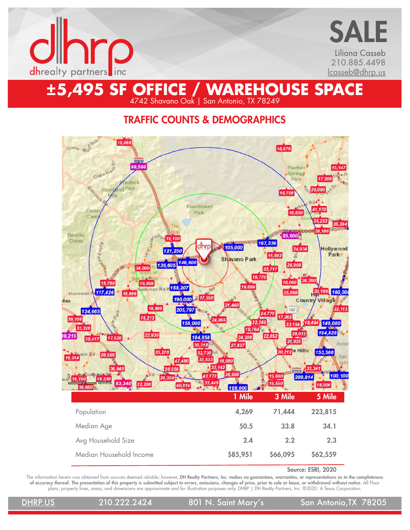

Liliana Casseb 210.885.4498 [lcasseb@dhrp.us](mailto:lcasseb%40dhrp.us?subject=) SALE

## TRAFFIC COUNTS & DEMOGRAPHICS

4742 Shavano Oak | San Antonio, TX 78249



Source: ESRI, 2020

The information herein was obtained from sources deemed reliable; however, DH Realty Partners, Inc. makes no guarantees, warranties, or representations as to the completeness of accuracy thereof. The presentation of this property is submitted subject to errors, omissions, changes of price, prior to sale or lease, or withdrawal without notice. All Floor plans, property lines, areas, and dimensions are approximate and for illustration purposes only. DHRP | DH Realty Partners, Inc. ®2020. A Texas Corporation.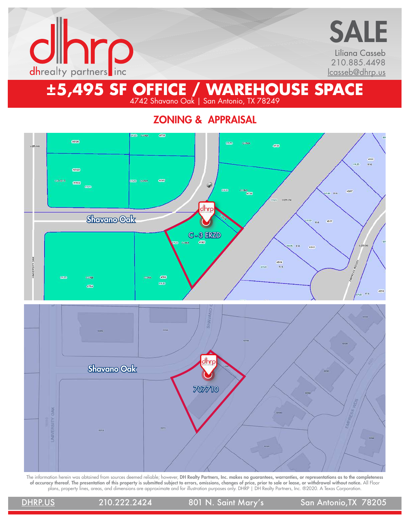

Liliana Casseb 210.885.4498 [lcasseb@dhrp.us](mailto:lcasseb%40dhrp.us?subject=) SALE

## **±5,495 SF OFFICE / WAREHOUSE SPACE** 4742 Shavano Oak | San Antonio, TX 78249

ZONING & APPRAISAL



The information herein was obtained from sources deemed reliable; however, DH Realty Partners, Inc. makes no guarantees, warranties, or representations as to the completeness of accuracy thereof. The presentation of this property is submitted subject to errors, omissions, changes of price, prior to sale or lease, or withdrawal without notice. All Floor plans, property lines, areas, and dimensions are approximate and for illustration purposes only. DHRP | DH Realty Partners, Inc. ®2020. A Texas Corporation.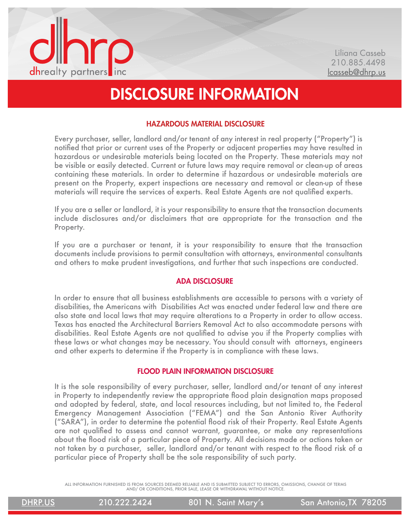

# DISCLOSURE INFORMATION

## HAZARDOUS MATERIAL DISCLOSURE

Every purchaser, seller, landlord and/or tenant of any interest in real property ("Property") is notified that prior or current uses of the Property or adjacent properties may have resulted in hazardous or undesirable materials being located on the Property. These materials may not be visible or easily detected. Current or future laws may require removal or clean-up of areas containing these materials. In order to determine if hazardous or undesirable materials are present on the Property, expert inspections are necessary and removal or clean-up of these materials will require the services of experts. Real Estate Agents are not qualified experts.

If you are a seller or landlord, it is your responsibility to ensure that the transaction documents include disclosures and/or disclaimers that are appropriate for the transaction and the Property.

If you are a purchaser or tenant, it is your responsibility to ensure that the transaction documents include provisions to permit consultation with attorneys, environmental consultants and others to make prudent investigations, and further that such inspections are conducted.

## ADA DISCLOSURE

In order to ensure that all business establishments are accessible to persons with a variety of disabilities, the Americans with Disabilities Act was enacted under federal law and there are also state and local laws that may require alterations to a Property in order to allow access. Texas has enacted the Architectural Barriers Removal Act to also accommodate persons with disabilities. Real Estate Agents are not qualified to advise you if the Property complies with these laws or what changes may be necessary. You should consult with attorneys, engineers and other experts to determine if the Property is in compliance with these laws.

## FLOOD PLAIN INFORMATION DISCLOSURE

It is the sole responsibility of every purchaser, seller, landlord and/or tenant of any interest in Property to independently review the appropriate flood plain designation maps proposed and adopted by federal, state, and local resources including, but not limited to, the Federal Emergency Management Association ("FEMA") and the San Antonio River Authority ("SARA"), in order to determine the potential flood risk of their Property. Real Estate Agents are not qualified to assess and cannot warrant, guarantee, or make any representations about the flood risk of a particular piece of Property. All decisions made or actions taken or not taken by a purchaser, seller, landlord and/or tenant with respect to the flood risk of a particular piece of Property shall be the sole responsibility of such party.

ALL INFORMATION FURNISHED IS FROM SOURCES DEEMED RELIABLE AND IS SUBMITTED SUBJECT TO ERRORS, OMISSIONS, CHANGE OF TERMS AND/ OR CONDITIONS, PRIOR SALE, LEASE OR WITHDRAWAL WITHOUT NOTICE.